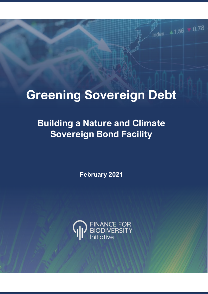# **Greening Sovereign Debt**

 $1.56 = 0.78$ 

# **Building a Nature and Climate Sovereign Bond Facility**

**February 2021**

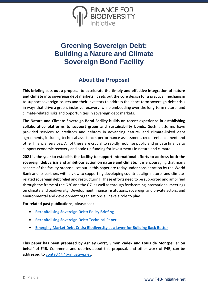

# **Greening Sovereign Debt: Building a Nature and Climate Sovereign Bond Facility**

### **About the Proposal**

**This briefing sets out a proposal to accelerate the timely and effective integration of nature and climate into sovereign debt markets**. It sets out the core design for a practical mechanism to support sovereign issuers and their investors to address the short-term sovereign debt crisis in ways that drive a green, inclusive recovery, while embedding over the long-term nature- and climate-related risks and opportunities in sovereign debt markets.

**The Nature and Climate Sovereign Bond Facility builds on recent experience in establishing collaborative platforms to support green and sustainability bonds**. Such platforms have provided services to creditors and debtors in advancing nature- and climate-linked debt agreements, including technical assistance, performance assessment, credit enhancement and other financial services. All of these are crucial to rapidly mobilise public and private finance to support economic recovery and scale up funding for investments in nature and climate.

**2021 is the year to establish the facility to support international efforts to address both the sovereign debt crisis and ambitious action on nature and climate.** It is encouraging that many aspects of the facility proposal set out in this paper are today under consideration by the World Bank and its partners with a view to supporting developing countries align nature- and climaterelated sovereign debt relief and restructuring. These efforts need to be supported and amplified through the frame of the G20 and the G7, as well as through forthcoming international meetings on climate and biodiversity. Development finance institutions, sovereign and private actors, and environmental and development organisations all have a role to play.

#### **For related past publications, please see:**

- **[Recapitalising Sovereign Debt: Policy Briefing](https://www.f4b-initiative.net/publications-1/-recapitalising-sovereign-debt%3A-policy-briefing)**
- **[Recapitalising Sovereign Debt: Technical Paper](https://www.f4b-initiative.net/publications-1/recapitalising-sovereign-debt%3A-technical-paper)**
- **[Emerging Market Debt Crisis: Biodiversity as a Lever for Building Back Better](https://www.f4b-initiative.net/publications-1/emerging-market-debt-crisis%3A-biodiversity-as-a-lever-for-building-back-better)**

**This paper has been prepared by Ashley Gorst, Simon Zadek and Louis de Montpellier on behalf of F4B.** Comments and queries about this proposal, and other work of F4B, can be addressed to [contact@f4b-initiative.net.](mailto:contact@f4b-initiative.net)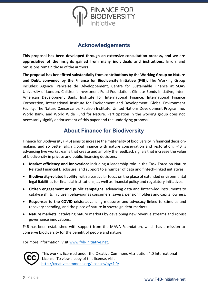

### **Acknowledgements**

**This proposal has been developed through an extensive consultation process, and we are appreciative of the insights gained from many individuals and institutions.** Errors and omissions remain those of the authors.

**The proposal has benefitted substantially from contributions by the Working Group on Nature and Debt, convened by the Finance for Biodiversity Initiative (F4B).** The Working Group includes: Agence Française de Développement, Centre for Sustainable Finance at SOAS University of London, Children's Investment Fund Foundation, Climate Bonds Initiative, Inter-American Development Bank, Institute for International Finance, International Finance Corporation, International Institute for Environment and Development, Global Environment Facility, The Nature Conservancy, Paulson Institute, United Nations Development Programme, World Bank, and World Wide Fund for Nature. Participation in the working group does not necessarily signify endorsement of this paper and the underlying proposal.

### **About Finance for Biodiversity**

Finance for Biodiversity (F4B) aims to increase the materiality of biodiversity in financial decisionmaking, and so better align global finance with nature conservation and restoration. F4B is advancing five workstreams that create and amplify the feedback signals that increase the value of biodiversity in private and public financing decisions:

- **Market efficiency and innovation**: including a leadership role in the Task Force on Nature Related Financial Disclosure, and support to a number of data and fintech-linked initiatives
- **Biodiversity-related liability**: with a particular focus on the place of extended environmental legal liabilities for financial institutions, as well as financial policy and regulatory initiatives.
- **Citizen engagement and public campaigns**: advancing data and fintech-led instruments to catalyse shifts in citizen behaviour as consumers, savers, pension holders and capital owners.
- **Responses to the COVID crisis**: advancing measures and advocacy linked to stimulus and recovery spending, and the place of nature in sovereign debt markets.
- **Nature markets**: catalysing nature markets by developing new revenue streams and robust governance innovations.

F4B has been established with support from the MAVA Foundation, which has a mission to conserve biodiversity for the benefit of people and nature.

For more information, visit [www.f4b-initiative.net.](http://www.f4b-initiative.net/)



This work is licensed under the Creative Commons Attribution 4.0 International License. To view a copy of this license, visit <http://creativecommons.org/licenses/by/4.0/>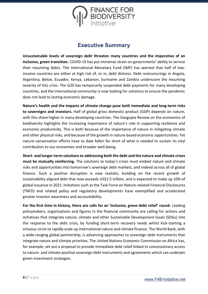

### **Executive Summary**

**Unsustainable levels of sovereign debt threaten many countries and the imperative of an inclusive, green transition.** COVID-19 has put immense strain on governments' ability to service their mounting debts. The International Monetary Fund (IMF) has warned that half of lowincome countries are either at high risk of, or in, debt distress. Debt restructurings in Angola, Argentina, Belize, Ecuador, Kenya, Lebanon, Suriname and Zambia underscore the mounting severity of this crisis. The G20 has temporarily suspended debt payments for many developing countries, and the international community is now looking for solutions to ensure the pandemic does not lead to lasting economic damage.

**Nature's health and the impacts of climate change pose both immediate and long-term risks to sovereigns and investors.** Half of global gross domestic product (GDP) depends on nature, with this share higher in many developing countries. The Dasgupta Review on the economics of biodiversity highlights the increasing importance of nature's role in supporting resilience and economic productivity. This is both because of the importance of nature in mitigating climate and other physical risks, and because of the growth in nature-based economic opportunities. Yet nature conservation efforts have to date fallen far short of what is needed to sustain its vital contribution to our economies and broader well-being.

**Short- and longer-term solutions to addressing both the debt and the nature and climate crises must be mutually reinforcing**. The solutions to today's crises must embed nature and climate risks and opportunities into tomorrow's sovereign debt markets, and indeed across all of global finance. Such a positive disruption is now realistic, building on the recent growth of sustainability-aligned debt that now exceeds US\$1.5 trillion, and is expected to make up 10% of global issuance in 2021. Initiatives such as the Task Force on Nature-related Financial Disclosures (TNFD) and related policy and regulatory developments have exemplified and accelerated greater investor awareness and accountability.

**For the first time in history, there are calls for an 'inclusive, green debt relief' round.** Leading policymakers, organisations and figures in the financial community are calling for actions and initiatives that integrate nature, climate and other Sustainable Development Goals (SDGs) into the response to the debt crisis, by funding short-term recovery needs whilst kick-starting a virtuous circle to rapidly scale up international nature and climate finance. The World Bank, with a wide-ranging global partnership, is advancing approaches to sovereign debt instruments that integrate nature and climate priorities. The United Nations Economic Commission on Africa has, for example, set out a proposal to provide immediate debt relief linked to concessionary access to nature- and climate-positive sovereign debt instruments and agreements which can underpin green investment strategies.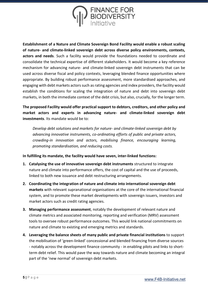

**Establishment of a Nature and Climate Sovereign Bond Facility would enable a robust scaling of nature- and climate-linked sovereign debt across diverse policy environments, contexts, actors and needs**. Such a facility would provide the foundations needed to coordinate and consolidate the technical expertise of different stakeholders. It would become a key reference mechanism for advancing nature- and climate-linked sovereign debt instruments that can be used across diverse fiscal and policy contexts, leveraging blended finance opportunities where appropriate. By building robust performance assessment, more standardised approaches, and engaging with debt markets actors such as rating agencies and index providers, the facility would establish the conditions for scaling the integration of nature and debt into sovereign debt markets, in both the immediate context of the debt crisis, but also, crucially, for the longer term.

**The proposed Facility would offer practical support to debtors, creditors, and other policy and market actors and experts in advancing nature- and climate-linked sovereign debt investments**. Its mandate would be to:

*Develop debt solutions and markets for nature- and climate-linked sovereign debt by advancing innovative instruments, co-ordinating efforts of public and private actors, crowding-in innovation and actors, mobilising finance, encouraging learning, promoting standardisation, and reducing costs.*

#### **In fulfilling its mandate, the facility would have seven, inter-linked functions:**

- **1. Catalysing the use of innovative sovereign debt instruments** structured to integrate nature and climate into performance offers, the cost of capital and the use of proceeds, linked to both new issuance and debt restructuring arrangements.
- **2. Coordinating the integration of nature and climate into international sovereign debt markets** with relevant supranational organisations at the core of the international financial system, and to promote these market developments with sovereign issuers, investors and market actors such as credit rating agencies.
- **3. Managing performance assessment**, notably the development of relevant nature and climate metrics and associated monitoring, reporting and verification (MRV) assessment tools to oversee robust performance outcomes. This would link national commitments on nature and climate to existing and emerging metrics and standards.
- **4. Leveraging the balance sheets of many public and private financial institutions** to support the mobilisation of 'green-linked' concessional and blended financing from diverse sources - notably across the development finance community - in enabling pilots and links to shortterm debt relief. This would pave the way towards nature and climate becoming an integral part of the 'new normal' of sovereign debt markets.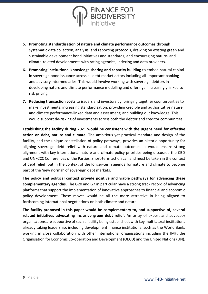

- **5. Promoting standardisation of nature and climate performance outcomes** through systematic data collection, analysis, and reporting protocols, drawing on existing green and sustainable development bond initiatives and standards; and encouraging nature- and climate-related developments with rating agencies, indexing and data providers.
- **6. Promoting institutional knowledge sharing and capacity building** to embed natural capital in sovereign bond issuance across all debt market actors including all-important banking and advisory intermediaries. This would involve working with sovereign debtors in developing nature and climate performance modelling and offerings, increasingly linked to risk pricing.
- **7. Reducing transaction costs** to issuers and investors by: bringing together counterparties to make investments; increasing standardisation; providing credible and authoritative nature and climate performance-linked data and assessment; and building out knowledge. This would support de-risking of investments across both the debtor and creditor communities.

**Establishing the facility during 2021 would be consistent with the urgent need for effective action on debt, nature and climate.** The ambitious yet practical mandate and design of the facility, and the unique constellation of policy pathways, provides an historic opportunity for aligning sovereign debt relief with nature and climate outcomes. It would ensure strong alignment with key international nature and climate policy priorities being discussed the CBD and UNFCCC Conferences of the Parties. Short-term action can and must be taken in the context of debt relief, but in the context of the longer-term agenda for nature and climate to become part of the 'new normal' of sovereign debt markets.

**The policy and political context provide positive and viable pathways for advancing these complementary agendas.** The G20 and G7 in particular have a strong track record of advancing platforms that support the implementation of innovative approaches to financial and economic policy development. These moves would be all the more attractive in being aligned to forthcoming international negotiations on both climate and nature.

**The facility proposed in this paper would be complementary to, and supportive of, several related initiatives advocating inclusive green debt relief.** An array of expert and advocacy organisations are supportive of such a facility being established, with key multilateral institutions already taking leadership, including development finance institutions, such as the World Bank, working in close collaboration with other international organisations including the IMF, the Organisation for Economic Co-operation and Development (OECD) and the United Nations (UN).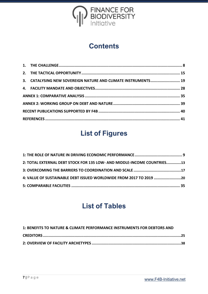

## **Contents**

| 3. CATALYSING NEW SOVEREIGN NATURE AND CLIMATE INSTRUMENTS 19 |  |
|---------------------------------------------------------------|--|
|                                                               |  |
|                                                               |  |
|                                                               |  |
|                                                               |  |
|                                                               |  |

# **List of Figures**

| 2: TOTAL EXTERNAL DEBT STOCK FOR 135 LOW- AND MIDDLE-INCOME COUNTRIES13 |  |
|-------------------------------------------------------------------------|--|
|                                                                         |  |
| 4: VALUE OF SUSTAINABLE DEBT ISSUED WORLDWIDE FROM 2017 TO 2019 20      |  |
|                                                                         |  |

# **List of Tables**

| 1: BENEFITS TO NATURE & CLIMATE PERFORMANCE INSTRUMENTS FOR DEBTORS AND |  |
|-------------------------------------------------------------------------|--|
|                                                                         |  |
|                                                                         |  |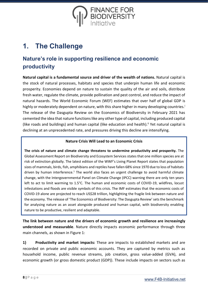

# <span id="page-7-0"></span>**1. The Challenge**

### **Nature's role in supporting resilience and economic productivity**

**Natural capital is a fundamental source and driver of the wealth of nations.** Natural capital is the stock of natural processes, habitats and species that underpin human life and economic prosperity. Economies depend on nature to sustain the quality of the air and soils, distribute fresh water, regulate the climate, provide pollination and pest control, and reduce the impact of natural hazards. The World Economic Forum (WEF) estimates that over half of global GDP is highly or moderately dependent on nature, with this share higher in many developing countries.<sup>i</sup> The release of the Dasgupta Review on the Economics of Biodiversity in February 2021 has cemented the idea that nature functions like any other type of capital, including produced capital (like roads and buildings) and human capital (like education and health).<sup>ii</sup> Yet natural capital is declining at an unprecedented rate, and pressures driving this decline are intensifying.

#### **Nature Crisis Will Lead to an Economic Crisis**

**The crisis of nature and climate change threatens to undermine productivity and prosperity.** The Global Assessment Report on Biodiversity and Ecosystem Services states that one million species are at risk of extinction globally. The latest edition of the WWF's Living Planet Report states that population sizes of mammals, birds, fish, amphibians and reptiles have fallen 68% since 1970 due to loss of habitats driven by human interference.<sup>1</sup> The world also faces an urgent challenge to avoid harmful climate change, with the Intergovernmental Panel on Climate Change (IPCC) warning there are only ten years left to act to limit warming to 1.5°C. The human and economic costs of COVID-19, wildfires, locust infestations and floods are visible symbols of this crisis. The IMF estimates that the economic costs of COVID-19 alone are projected to reach US\$28 trillion, highlighting the fragile link between nature and the economy. The release of 'The Economics of Biodiversity: The Dasgupta Review' sets the benchmark for analysing nature as an asset alongside produced and human capital, with biodiversity enabling nature to be productive, resilient and adaptable.

**The link between nature and the drivers of economic growth and resilience are increasingly understood and measurable**. Nature directly impacts economic performance through three main channels, as shown in [Figure 1:](#page-8-0)

**1) Productivity and market impacts:** These are impacts to established markets and are recorded on private and public economic accounts. They are captured by metrics such as household income, public revenue streams, job creation, gross value-added (GVA), and economic growth (or gross domestic product (GDP)). These include impacts on sectors such as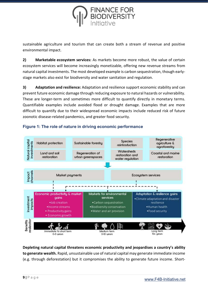

sustainable agriculture and tourism that can create both a stream of revenue and positive environmental impact.

**2) Marketable ecosystem services:** As markets become more robust, the value of certain ecosystem services will become increasingly monetizable, offering new revenue streams from natural capital investments. The most developed example is carbon sequestration, though earlystage markets also exist for biodiversity and water sanitation and regulation.

**3) Adaptation and resilience:** Adaptation and resilience support economic stability and can prevent future economic damage through reducing exposure to natural hazards or vulnerability. These are longer-term and sometimes more difficult to quantify directly in monetary terms. Quantifiable examples include avoided flood or drought damage. Examples that are more difficult to quantify due to their widespread economic impacts include reduced risk of future zoonotic disease-related pandemics, and greater food security.



#### <span id="page-8-0"></span>**Figure 1: The role of nature in driving economic performance**

**Depleting natural capital threatens economic productivity and jeopardises a country's ability to generate wealth.** Rapid, unsustainable use of natural capital may generate immediate income (e.g. through deforestation) but it compromises the ability to generate future income. Short-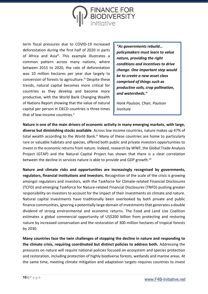

term fiscal pressures due to COVID-19 increased deforestation during the first half of 2020 in parts of Africa and Asia<sup>iii</sup>. This example illustrates a common pattern across many nations, where between 2015 to 2020, the rate of deforestation was 10 million hectares per year due largely to conversion of forests to agriculture.<sup>iv</sup> Despite these trends, natural capital becomes more critical for countries as they develop and become more productive, with the World Bank Changing Wealth of Nations Report showing that the value of natural capital per person in OECD countries is three times that of low-income countries. $v$ 

*"As governments rebuild… policymakers must learn to value nature, providing the right conditions and incentives to drive change. One important step would be to create a new asset class comprised of things such as productive soils, crop pollination, and watersheds."* 

*Hank Paulson, Chair, Paulson Institute*

**Nature is one of the main drivers of economic activity in many emerging markets, with large, diverse but diminishing stocks available**. Across low income countries, nature makes up 47% of total wealth according to the World Bank.<sup>vi</sup> Many of these countries are home to particularly rare or valuable habitats and species, offered both public and private investors opportunities to invest in the economic returns from nature. Indeed, research by WWF, the Global Trade Analysis Project (GTAP) and the Natural Capital Project has shown that there is a clear correlation between the decline in services nature is able to provide and GDP growth.<sup>vii</sup>

**Nature and climate risks and opportunities are increasingly recognised by governments, regulators, financial institutions and investors.** Recognition of the scale of the crisis is growing amongst regulators and investors, with the Taskforce for Climate-related Financial Disclosures (TCFD) and emerging Taskforce for Nature-related Financial Disclosures (TNFD) pushing greater responsibility on investors to account for the impact of their investments on climate and nature. Natural capital investments have traditionally been overlooked by both private and public finance communities, ignoring a potentially large domain of investments that generates a double dividend of strong environmental and economic returns. The Food and Land Use Coalition estimates a global commercial opportunity of US\$200 billion from protecting and restoring nature by increased conservation and the restoration of 300 million hectares of tropical forests by 2030.

**Many countries face the twin challenges of stopping the decline in nature and responding to the climate crisis, requiring coordinated but distinct policies to address both.** Addressing the pressures on nature will require national policies focused on ecosystem and species protection and restoration, including protection of highly biodiverse forests, wetlands and marine areas. At the same time, meeting climate mitigation and adaptation targets requires countries to invest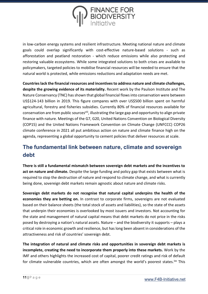

in low-carbon energy systems and resilient infrastructure. Meeting national nature and climate goals could overlap significantly with cost-effective nature-based solutions - such as afforestation and peatland restoration - which reduce emissions while also protecting and restoring valuable ecosystems. While some integrated solutions to both crises are available to policymakers, targeted policies to mobilise financial resources will be needed to ensure that the natural world is protected, while emissions reductions and adaptation needs are met.

**Countries lack the financial resources and incentives to address nature and climate challenges, despite the growing evidence of its materiality.** Recent work by the Paulson Institute and The Nature Conservancy (TNC) has shown that global financial flows into conservation were between US\$124-143 billion in 2019. This figure compares with over US\$500 billion spent on harmful agricultural, forestry and fisheries subsidies. Currently 80% of financial resources available for conservation are from public sourcesviii, illustrating the large gap and opportunity to align private finance with nature. Meetings of the G7, G20, United Nations Convention on Biological Diversity (COP15) and the United Nations Framework Convention on Climate Change (UNFCCC) COP26 climate conference in 2021 all put ambitious action on nature and climate finance high on the agenda, representing a global opportunity to cement policies that deliver resources at scale.

### **The fundamental link between nature, climate and sovereign debt**

**There is still a fundamental mismatch between sovereign debt markets and the incentives to act on nature and climate.** Despite the large funding and policy gap that exists between what is required to stop the destruction of nature and respond to climate change, and what is currently being done, sovereign debt markets remain agnostic about nature and climate risks.

**Sovereign debt markets do not recognise that natural capital underpins the health of the economies they are betting on.** In contrast to corporate firms, sovereigns are not evaluated based on their balance sheets (the total stock of assets and liabilities), so the state of the assets that underpin their economies is overlooked by most issuers and investors. Not accounting for the state and management of natural capital means that debt markets do not price in the risks posed by destroying a nation's natural assets. Nature – and the biodiversity it supports – plays a critical role in economic growth and resilience, but has long been absent in considerations of the attractiveness and risk of countries' sovereign debt.

**The integration of natural and climate risks and opportunities in sovereign debt markets is incomplete, creating the need to incorporate them properly into these markets.** Work by the IMF and others highlights the increased cost of capital, poorer credit ratings and risk of default for climate vulnerable countries, which are often amongst the world's poorest states.<sup>ixx</sup> This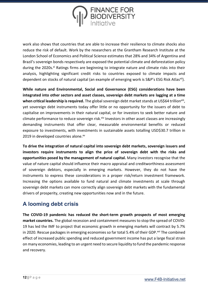

work also shows that countries that are able to increase their resilience to climate shocks also reduce the risk of default. Work by the researchers at the Grantham Research Institute at the London School of Economics and Political Science estimates that 28% and 34% of Argentina and Brazil's sovereign bonds respectively are exposed the potential climate and deforestation policy during the 2020s.<sup>xi</sup> Ratings firms are beginning to integrate nature and climate risks into their analysis, highlighting significant credit risks to countries exposed to climate impacts and dependent on stocks of natural capital (an example of emerging work is S&P's ESG Risk Atlas<sup>xii</sup>).

**While nature and Environmental, Social and Governance (ESG) considerations have been integrated into other sectors and asset classes, sovereign debt markets are lagging at a time**  when critical leadership is required. The global sovereign debt market stands at US\$64 trillion<sup>xiii</sup>, yet sovereign debt instruments today offer little or no opportunity for the issuers of debt to capitalise on improvements in their natural capital, or for investors to seek better nature and climate performance to reduce sovereign risk. Xiv Investors in other asset classes are increasingly demanding instruments that offer clear, measurable environmental benefits or reduced exposure to investments, with investments in sustainable assets totalling USD\$30.7 trillion in 2019 in developed countries alone.<sup>xv</sup>

**To drive the integration of natural capital into sovereign debt markets, sovereign issuers and investors require instruments to align the price of sovereign debt with the risks and opportunities posed by the management of natural capital.** Many investors recognise that the value of nature capital should influence their macro appraisal and creditworthiness assessment of sovereign debtors, especially in emerging markets. However, they do not have the instruments to express these considerations in a proper risk/return investment framework. Increasing the options available to fund natural and climate investments at scale through sovereign debt markets can more correctly align sovereign debt markets with the fundamental drivers of prosperity, creating new opportunities now and in the future.

### **A looming debt crisis**

**The COVID-19 pandemic has reduced the short-term growth prospects of most emerging market countries.** The global recession and containment measures to stop the spread of COVID-19 has led the IMF to project that economic growth in emerging markets will contract by 5.7% in 2020. Rescue packages in emerging economies so far total 5.4% of their GDP.<sup>xvi</sup> The combined effect of increased public spending and reduced government income has put a large fiscal strain on many economies, leading to an urgent need to secure liquidity to fund the pandemic response and recovery.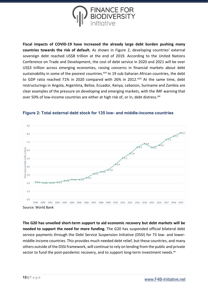

**Fiscal impacts of COVID-19 have increased the already large debt burden pushing many countries towards the risk of default.** As shown in Figure 2, developing countries' external sovereign debt reached US\$8 trillion at the end of 2019. According to the United Nations Conference on Trade and Development, the cost of debt service in 2020 and 2021 will be over US\$3 trillion across emerging economies, raising concerns in financial markets about debt sustainability in some of the poorest countries.<sup>xvii</sup> In 19 sub-Saharan African countries, the debt to GDP ratio reached 71% in 2020 compared with 26% in 2012.<sup>xviii</sup> At the same time, debt restructurings in Angola, Argentina, Belize, Ecuador, Kenya, Lebanon, Suriname and Zambia are clear examples of the pressure on developing and emerging markets, with the IMF warning that over 50% of low-income countries are either at high risk of, or in, debt distress. Xix



#### <span id="page-12-0"></span>**Figure 2: Total external debt stock for 135 low- and middle-income countries**

**The G20 has unveiled short-term support to aid economic recovery but debt markets will be needed to support the need for more funding.** The G20 has suspended official bilateral debt service payments through the Debt Service Suspension Initiative (DSSI) for 73 low- and lowermiddle-income countries. This provides much needed debt relief, but these countries, and many others outside of the DSSI framework, will continue to rely on lending from the public and private sector to fund the post-pandemic recovery, and to support long-term investment needs.<sup>xx</sup>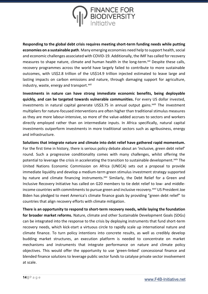

**Responding to the global debt crisis requires meeting short-term funding needs while putting economies on a sustainable path**. Many emerging economies need help to support health, social and economic challenges associated with COVID-19. Additionally, the IMF has called for recovery measures to shape nature, climate and human health in the long-term.<sup>xxi</sup> Despite these calls, recovery programmes across the world have largely failed to contribute to more sustainable outcomes, with US\$2.8 trillion of the US\$14.9 trillion injected estimated to leave large and lasting impacts on carbon emissions and nature, through damaging support for agriculture, industry, waste, energy and transport.<sup>xxii</sup>

**Investments in nature can have strong immediate economic benefits, being deployable quickly, and can be targeted towards vulnerable communities.** For every US dollar invested, investments in natural capital generate US\$3.75 in annual output gains.<sup>xxiii</sup> The investment multipliers for nature-focused interventions are often higher than traditional stimulus measures as they are more labour-intensive, so more of the value-added accrues to sectors and workers directly employed rather than on intermediate inputs. In Africa specifically, natural capital investments outperform investments in more traditional sectors such as agribusiness, energy and infrastructure.

**Solutions that integrate nature and climate into debt relief have gathered rapid momentum.** For the first time in history, there is serious policy debate about an 'inclusive, green debt relief' round. Such a progressive conditionality comes with many challenges, whilst offering the potential to leverage the crisis in accelerating the transition to sustainable development.<sup>xxiv</sup> The United Nations Economic Commission on Africa (UNECA) sets out a proposal to provide immediate liquidity and develop a medium-term green stimulus investment strategy supported by nature and climate financing instruments.<sup>xxv</sup> Similarly, the Debt Relief for a Green and Inclusive Recovery Initiative has called on G20 members to tie debt relief to low- and middleincome countries with commitments to pursue green and inclusive recovery.<sup>xxvi</sup> US President Joe Biden has pledged to meet America's climate finance goals by providing "green debt relief" to countries that align recovery efforts with climate mitigation.

**There is an opportunity to respond to short-term recovery needs, while laying the foundation for broader market reforms.** Nature, climate and other Sustainable Development Goals (SDGs) can be integrated into the response to the crisis by deploying instruments that fund short-term recovery needs, which kick-start a virtuous circle to rapidly scale up international nature and climate finance. To turn policy intentions into concrete results, as well as credibly develop budding market structures, an execution platform is needed to concentrate on market mechanisms and instruments that integrate performance on nature and climate policy objectives. This would offer the opportunity to use 'green-linked' concessional finance and blended finance solutions to leverage public sector funds to catalyse private sector involvement at scale.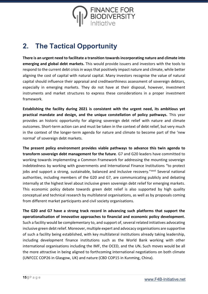

# <span id="page-14-0"></span>**2. The Tactical Opportunity**

**There is an urgent need to facilitate a transition towardsincorporating nature and climate into emerging and global debt markets.** This would provide issuers and investors with the tools to respond to the current debt crisis in ways that positively impact nature and climate, while better aligning the cost of capital with natural capital. Many investors recognise the value of natural capital should influence their appraisal and creditworthiness assessment of sovereign debtors, especially in emerging markets. They do not have at their disposal, however, investment instruments and market structures to express these considerations in a proper investment framework.

**Establishing the facility during 2021 is consistent with the urgent need, its ambitious yet practical mandate and design, and the unique constellation of policy pathways.** This year provides an historic opportunity for aligning sovereign debt relief with nature and climate outcomes. Short-term action can and must be taken in the context of debt relief, but very much in the context of the longer-term agenda for nature and climate to become part of the 'new normal' of sovereign debt markets.

**The present policy environment provides viable pathways to advance this twin agenda to transform sovereign debt management for the future**. G7 and G20 leaders have committed to working towards implementing a Common Framework for addressing the mounting sovereign indebtedness by working with governments and International Finance Institutions "to protect jobs and support a strong, sustainable, balanced and inclusive recovery." xxvii Several national authorities, including members of the G20 and G7, are communicating publicly and debating internally at the highest level about inclusive green sovereign debt relief for emerging markets. This economic policy debate towards green debt relief is also supported by high quality conceptual and technical research by multilateral organisations, as well as by proposals coming from different market participants and civil society organisations.

**The G20 and G7 have a strong track record in advancing such platforms that support the operationalisation of innovative approaches to financial and economic policy development.**  Such a facility would be complementary to, and support of, several related initiatives advocating inclusive green debt relief. Moreover, multiple expert and advocacy organisations are supportive of such a facility being established, with key multilateral institutions already taking leadership, including development finance institutions such as the World Bank working with other international organisations including the IMF, the OCED, and the UN**.** Such moves would be all the more attractive in being aligned to forthcoming international negotiations on both climate (UNFCCC COP26 in Glasgow, UK) and nature (CBD COP15 in Kunming, China).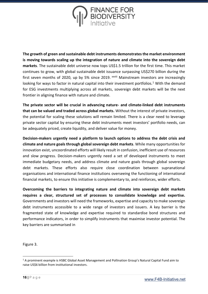

**The growth of green and sustainable debt instruments demonstrates the market environment is moving towards scaling up the integration of nature and climate into the sovereign debt markets**. The sustainable debt universe now tops US\$1.5 trillion for the first time. This market continues to grow, with global sustainable debt issuance surpassing US\$270 billion during the first seven months of 2020, up by 5% since 2019.  $x$ <sup>xxviii</sup> Mainstream investors are increasingly looking for ways to factor in natural capital into their investment portfolios.<sup>1</sup> With the demand for ESG investments multiplying across all markets, sovereign debt markets will be the next frontier in aligning finance with nature and climate.

**The private sector will be crucial in advancing nature- and climate-linked debt instruments that can be valued and traded across global markets.** Without the interest of private investors, the potential for scaling these solutions will remain limited. There is a clear need to leverage private sector capital by ensuring these debt instruments meet investors' portfolio needs, can be adequately priced, create liquidity, and deliver value for money.

**Decision-makers urgently need a platform to launch options to address the debt crisis and climate and nature goals through global sovereign debt markets**. While many opportunities for innovation exist, uncoordinated efforts will likely result in confusion, inefficient use of resources and slow progress. Decision-makers urgently need a set of developed instruments to meet immediate budgetary needs, and address climate and nature goals through global sovereign debt markets. These efforts also require close coordination between supranational organisations and international finance institutions overseeing the functioning of international financial markets, to ensure this initiative is complementary to, and reinforces, wider efforts.

**Overcoming the barriers to integrating nature and climate into sovereign debt markets requires a clear, structured set of processes to consolidate knowledge and expertise.** Governments and investors will need the frameworks, expertise and capacity to make sovereign debt instruments accessible to a wide range of investors and issuers. A key barrier is the fragmented state of knowledge and expertise required to standardise bond structures and performance indicators, in order to simplify instruments that maximise investor potential. The key barriers are summarised in

[Figure](#page-16-0) 3.

<sup>&</sup>lt;sup>1</sup> A prominent example is HSBC Global Asset Management and Pollination Group's Natural Capital Fund aim to raise US\$6 billion from institutional investors.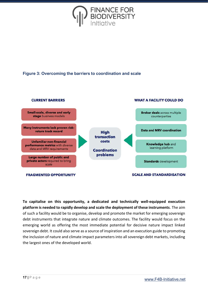

#### <span id="page-16-0"></span>**Figure 3: Overcoming the barriers to coordination and scale**



**To capitalise on this opportunity, a dedicated and technically well-equipped execution platform is needed to rapidly develop and scale the deployment of these instruments**. The aim of such a facility would be to organise, develop and promote the market for emerging sovereign debt instruments that integrate nature and climate outcomes. The facility would focus on the emerging world as offering the most immediate potential for decisive nature impact linked sovereign debt. It could also serve as a source of inspiration and an execution guide to promoting the inclusion of nature and climate impact parameters into all sovereign debt markets, including the largest ones of the developed world.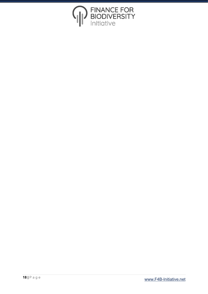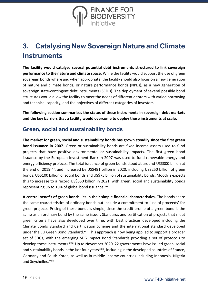

# <span id="page-18-0"></span>**3. Catalysing New Sovereign Nature and Climate Instruments**

**The facility would catalyse several potential debt instruments structured to link sovereign performance to the nature and climate space.** While the facility would support the use of green sovereign bonds where and when appropriate, the facility should also focus on a new generation of nature and climate bonds, or nature performance bonds (NPBs), as a new generation of sovereign state-contingent debt instruments (SCDIs). The deployment of several possible bond structures would allow the facility to meet the needs of different debtors with varied borrowing and technical capacity, and the objectives of different categories of investors.

**The following section summarises the status of these instruments in sovereign debt markets and the key barriers that a facility would overcome to deploy these instruments at scale.** 

### **Green, social and sustainability bonds**

**The market for green, social and sustainability bonds has grown steadily since the first green bond issuance in 2007.** Green or sustainability bonds are fixed income assets used to fund projects that have positive environmental or sustainability impacts. The first green bond issuance by the European Investment Bank in 2007 was used to fund renewable energy and energy efficiency projects. The total issuance of green bonds stood at around US\$800 billion at the end of 2019<sup>xxix</sup>, and increased by US\$491 billion in 2020, including US\$250 billion of green bonds, US\$100 billion of social bonds and US\$75 billion of sustainability bonds. Moody's expects this to increase to a record US\$650 billion in 2021, with green, social and sustainability bonds representing up to 10% of global bond issuance.xxx

**A central benefit of green bonds lies in their simple financial characteristics.** The bonds share the same characteristics of ordinary bonds but include a commitment to 'use of proceeds' for green projects. Pricing of these bonds is simple, since the credit profile of a green bond is the same as an ordinary bond by the same issuer. Standards and certification of projects that meet green criteria have also developed over time, with best practices developed including the Climate Bonds Standard and Certification Scheme and the international standard developed under the EU Green Bond Standard. XXXI This approach is now being applied to support a broader set of SDGs, with the emerging SDG Impact Bond Standards providing a set of protocols to develop these instruments.<sup>xxxii</sup> Up to November 2020, 22 governments have issued green, social and sustainability bonds in the last four years<sup>xxxiii</sup>, including in the developed countries of France, Germany and South Korea, as well as in middle-income countries including Indonesia, Nigeria and Seychelles.<sup>xxxiv</sup>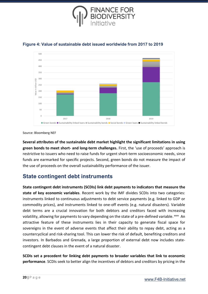



<span id="page-19-0"></span>**Figure 4: Value of sustainable debt issued worldwide from 2017 to 2019**

Source: Bloomberg NEF

**Several attributes of the sustainable debt market highlight the significant limitations in using green bonds to meet short- and long-term challenges.** First, the 'use of proceeds' approach is restrictive to issuers who need to raise funds for urgent short-term socioeconomic needs, since funds are earmarked for specific projects. Second, green bonds do not measure the impact of the use of proceeds on the overall sustainability performance of the issuer.

#### **State contingent debt instruments**

**State contingent debt instruments (SCDIs) link debt payments to indicators that measure the state of key economic variables**. Recent work by the IMF divides SCDIs into two categories: instruments linked to continuous adjustments to debt service payments (e.g. linked to GDP or commodity prices), and instruments linked to one-off events (e.g. natural disasters). Variable debt terms are a crucial innovation for both debtors and creditors faced with increasing volatility, allowing for payments to vary depending on the state of a pre-defined variable. XXXV An attractive feature of these instruments lies in their capacity to generate fiscal space for sovereigns in the event of adverse events that affect their ability to repay debt, acting as a countercyclical and risk-sharing tool. This can lower the risk of default, benefiting creditors and investors. In Barbados and Grenada, a large proportion of external debt now includes statecontingent debt clauses in the event of a natural disaster.

**SCDIs set a precedent for linking debt payments to broader variables that link to economic performance**. SCDIs seek to better align the incentives of debtors and creditors by pricing in the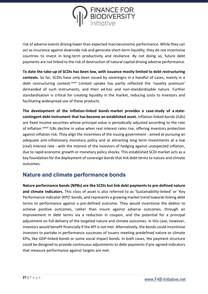

risk of adverse events driving lower than expected macroeconomic performance. While they can act as insurance against downside risk and generate short-term liquidity, they do not incentivise countries to invest in long-term productivity and resilience. By not doing so, future debt payments are not linked to the risk of destruction of natural capital driving adverse performance.

**To date the take-up of SCDIs has been low, with issuance mostly limited to debt restructuring contexts.** So far, SCDIs have only been issued by sovereigns in a handful of cases, mainly in a debt restructuring context.<sup>xxxvi</sup> Limited uptake has partly reflected the 'novelty premium' demanded of such instruments, and their ad-hoc and non-standardisable nature. Further standardisation is critical for creating liquidity in the market, reducing costs to investors and facilitating widespread use of these products.

**The development of the inflation-linked bonds market provides a case-study of a statecontingent debt instrument that has become an established asset.** Inflation-linked bonds (ILBs) are fixed income securities whose principal value is periodically adjusted according to the rate of inflation. XXXVII ILBs decline in value when real interest rates rise, offering investors protection against inflation risk. They align the incentives of the issuing government - aimed at pursuing an adequate anti-inflationary monetary policy and at attracting long term investments at a low (real) interest rate - with the interest of the investors of hedging against unexpected inflation, due to rapid economic growth or monetary policy shocks. This established SCDI market acts as a key foundation for the deployment of sovereign bonds that link debt terms to nature and climate outcomes.

### **Nature and climate performance bonds**

**Nature performance bonds (NPBs) are like SCDIs but link debt payments to pre-defined nature and climate indicators.** This class of asset is also referred to as 'Sustainability-linked' or 'Key Performance Indicator (KPI)' bonds, and represents a growing market trend towards linking debt terms to performance against a pre-defined outcome. They would incentivise the debtor to achieve positive outcomes, rather than insure against adverse outcomes, through an improvement in debt terms via a reduction in coupon, and the potential for a principal adjustment on full delivery of the targeted nature and climate outcomes. In this case, however, investors would benefit financially if the KPI is not met. Alternatively, the bonds could incentivise investors to partake in performance successes of issuers meeting predefined nature or climate KPIs, like GDP-linked bonds or some social impact bonds. In both cases, the payment structure could be designed to provide continuous adjustments to debt payments if pre-agreed indicators that measure performance against targets are met.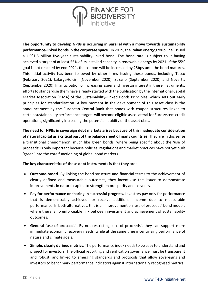

**The opportunity to develop NPBs is occurring in parallel with a move towards sustainability performance-linked bonds in the corporate space.** In 2019, the Italian energy group Enel issued a US\$1.5 billion five-year sustainability-linked bond. The bond rate is subject to it having achieved a target of at least 55% of its installed capacity in renewable energy by 2021. If the 55% goal is not reached by end 2021, the coupon will be increased by 25bps until the bond matures. This initial activity has been followed by other firms issuing these bonds, including Tesco (February 2021), LafargeHolcim (November 2020), Suzano (September 2020) and Novartis (September 2020). In anticipation of increasing issuer and investor interest in these instruments, efforts to standardise them have already started with the publication by the International Capital Market Association (ICMA) of the Sustainability-Linked Bonds Principles, which sets out early principles for standardisation. A key moment in the development of this asset class is the announcement by the European Central Bank that bonds with coupon structures linked to certain sustainability performance targets will become eligible as collateral for Eurosystem credit operations, significantly increasing the potential liquidity of the asset class.

**The need for NPBs in sovereign debt markets arises because of this inadequate consideration of natural capital as a critical part of the balance sheet of many countries**. They are in this sense a transitional phenomenon, much like green bonds, where being specific about the 'use of proceeds' is only important because policies, regulations and market practices have not yet built 'green' into the core functioning of global bond markets.

#### **The key characteristics of these debt instruments is that they are:**

- **Outcome-based.** By linking the bond structure and financial terms to the achievement of clearly defined and measurable outcomes, they incentivise the issuer to demonstrate improvements in natural capital to strengthen prosperity and solvency.
- **Pay for performance or sharing in successful progress.** Investors pay only for performance that is demonstrably achieved, or receive additional income due to measurable performance. In both alternatives, this is an improvement on 'use of proceeds' bond models where there is no enforceable link between investment and achievement of sustainability outcomes.
- **General 'use of proceeds'.** By not restricting 'use of proceeds', they can support more immediate economic recovery needs, while at the same time incentivising performance of nature and climate goals.
- **Simple, clearly defined metrics.** The performance index needs to be easy to understand and project for investors. The official reporting and verification governance must be transparent and robust, and linked to emerging standards and protocols that allow sovereigns and investors to benchmark performance indicators against internationally recognised metrics.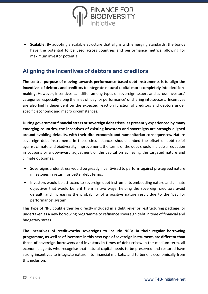

• **Scalable.** By adopting a scalable structure that aligns with emerging standards, the bonds have the potential to be used across countries and performance metrics, allowing for maximum investor potential.

### **Aligning the incentives of debtors and creditors**

**The central purpose of moving towards performance-based debt instruments is to align the incentives of debtors and creditors to integrate natural capital more completely into decisionmaking.** However, incentives can differ among types of sovereign issuers and across investors' categories, especially along the lines of 'pay for performance' or sharing into success. Incentives are also highly dependent on the expected reaction function of creditors and debtors under specific economic and macro circumstances.

**During government financial stress or sovereign debt crises, as presently experienced by many emerging countries, the incentives of existing investors and sovereigns are strongly aligned around avoiding defaults, with their dire economic and humanitarian consequences.** Nature sovereign debt instruments in these circumstances should embed the offset of debt relief against climate and biodiversity improvement: the terms of the debt should include a reduction in coupons or a downward adjustment of the capital on achieving the targeted nature and climate outcomes:

- Sovereigns under stress would be greatly incentivised to perform against pre-agreed nature milestones in return for better debt terms.
- Investors would be attracted to sovereign debt instruments embedding nature and climate objectives that would benefit them in two ways: helping the sovereign creditors avoid default, and increasing the probability of a positive nature result due to the 'pay for performance' system.

This type of NPB could either be directly included in a debt relief or restructuring package, or undertaken as a new borrowing programme to refinance sovereign debt in time of financial and budgetary stress.

**The incentives of creditworthy sovereigns to include NPBs in their regular borrowing programme, as well as of investors in this new type of sovereign instrument, are different than those of sovereign borrowers and investors in times of debt crises.** In the medium term, all economic agents who recognise that natural capital needs to be preserved and restored have strong incentives to integrate nature into financial markets, and to benefit economically from this inclusion: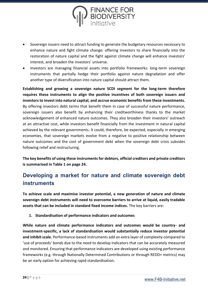

- Sovereign issuers need to attract funding to generate the budgetary resources necessary to enhance nature and fight climate change: offering investors to share financially into the restoration of nature capital and the fight against climate change will enhance investors' interest, and broaden the investors' universe.
- Investors are managing financial assets into portfolio frameworks: long-term sovereign instruments that partially hedge their portfolio against nature degradation and offer another type of diversification into nature capital should attract them.

**Establishing and growing a sovereign nature SCDI segment for the long-term therefore requires these instruments to align the positive incentives of both sovereign issuers and investors to invest into natural capital, and accrue economic benefits from these investments.** By offering investors debt terms that benefit them in case of successful nature performance, sovereign issuers also benefit by enhancing their creditworthiness thanks to the market acknowledgement of enhanced nature outcomes. They also broaden their investors' outreach at an attractive cost, while investors benefit financially from the investment in natural capital achieved by the relevant governments. It could, therefore, be expected, especially in emerging economies, that sovereign markets evolve from a negative to positive relationship between nature outcomes and the cost of government debt when the sovereign debt crisis subsides following relief and restructuring.

**The key benefits of using these instruments for debtors, official creditors and private creditors is summarised in Table 1 on page 24.**

### **Developing a market for nature and climate sovereign debt instruments**

**To achieve scale and maximise investor potential, a new generation of nature and climate sovereign debt instruments will need to overcome barriers to arrive at liquid, easily tradable assets that can be included in standard fixed income indices.** The key barriers are:

**1. Standardisation of performance indicators and outcomes**

**While nature and climate performance indicators and outcomes would be country- and investment-specific, a lack of standardisation would substantially reduce investor potential and inhibit scale.** Performance-based instruments add an extra layer of complexity compared to 'use of proceeds' bonds due to the need to develop indicators that can be accurately measured and monitored. Ensuring that performance indicators are developed using existing performance frameworks (e.g. through Nationally Determined Contributions or through REDD+ metrics) may be an early option for achieving rapid standardisation.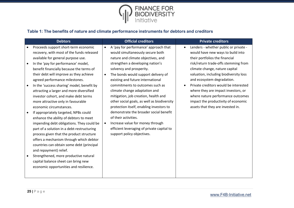

#### **Table 1: The benefits of nature and climate performance instruments for debtors and creditors**

<span id="page-24-0"></span>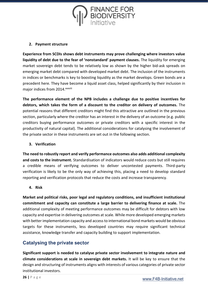

#### **2. Payment structure**

**Experience from SCDIs shows debt instruments may prove challenging where investors value liquidity of debt due to the fear of 'nonstandard' payment clauses.** The liquidity for emerging market sovereign debt tends to be relatively low as shown by the higher bid-ask spreads on emerging market debt compared with developed market debt. The inclusion of the instruments in indices or benchmarks is key to boosting liquidity as the market develops. Green bonds are a precedent here. They have become a liquid asset class, helped significantly by their inclusion in major indices from 2014. xxxviii

**The performance element of the NPB includes a challenge due to positive incentives for debtors, which takes the form of a discount to the creditor on delivery of outcomes.** The potential reasons that different creditors might find this attractive are outlined in the previous section, particularly where the creditor has an interest in the delivery of an outcome (e.g. public creditors buying performance outcomes or private creditors with a specific interest in the productivity of natural capital). The additional considerations for catalysing the involvement of the private sector in these instruments are set out in the following section.

#### **3. Verification**

**The need to robustly report and verify performance outcomes also adds additional complexity and costs to the instrument.** Standardisation of indicators would reduce costs but still requires a credible means of verifying outcomes to deliver uncontested payments. Third-party verification is likely to be the only way of achieving this, placing a need to develop standard reporting and verification protocols that reduce the costs and increase transparency.

#### **4. Risk**

**Market and political risks, poor legal and regulatory conditions, and insufficient institutional commitment and capacity can constitute a large barrier to delivering finance at scale.** The additional complexity of meeting performance outcomes may be difficult for debtors with low capacity and expertise in delivering outcomes at scale. While more developed emerging markets with better implementation capacity and access to international bond markets would be obvious targets for these instruments, less developed countries may require significant technical assistance, knowledge transfer and capacity building to support implementation.

#### **Catalysing the private sector**

**Significant support is needed to catalyse private sector involvement to integrate nature and climate considerations at scale in sovereign debt markets.** It will be key to ensure that the design and structuring of instruments aligns with interests of various categories of private sector institutional investors.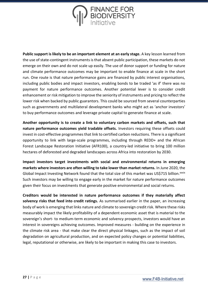

**Public support is likely to be an important element at an early stage.** A key lesson learned from the use of state-contingent instruments is that absent public participation, these markets do not emerge on their own and do not scale up easily. The use of donor support or funding for nature and climate performance outcomes may be important to enable finance at scale in the short run. One route is that nature performance gains are financed by public interest organisations, including public bodies and impact investors, enabling bonds to be traded 'as if' there was no payment for nature performance outcomes. Another potential lever is to consider credit enhancement or risk mitigation to improve the seniority of instruments and pricing to reflect the lower risk when backed by public guarantors. This could be sourced from several counterparties such as governments and multilateral development banks who might act as 'anchor investors' to buy performance outcomes and leverage private capital to generate finance at scale.

**Another opportunity is to create a link to voluntary carbon markets and offsets, such that nature performance outcomes yield tradable offsets.** Investors requiring these offsets could invest in cost-effective programmes that link to certified carbon reductions. There is a significant opportunity to link with large-scale programmes, including through REDD+ and the African Forest Landscape Restoration Initiative (AFR100), a country-led initiative to bring 100 million hectares of deforested and degraded landscapes across Africa into restoration by 2030.

**Impact investors target investments with social and environmental returns in emerging markets where investors are often willing to take lower than market returns.** In June 2020, the Global Impact Investing Network found that the total size of this market was US\$715 billion.<sup>xxxix</sup> Such investors may be willing to engage early in the market for nature performance outcomes given their focus on investments that generate positive environmental and social returns.

<span id="page-26-0"></span>**Creditors would be interested in nature performance outcomes if they materially affect solvency risks that feed into credit ratings.** As summarised earlier in the paper, an increasing body of work is emerging that links nature and climate to sovereign credit risk. Where these risks measurably impact the likely profitability of a dependent economic asset that is material to the sovereign's short- to medium-term economic and solvency prospects, investors would have an interest in sovereigns achieving outcomes. Improved measures - building on the experience in the climate risk area - that make clear the direct physical linkages, such as the impact of soil degradation on agricultural production, and on expected policy changes or potential liabilities, legal, reputational or otherwise, are likely to be important in making this case to investors.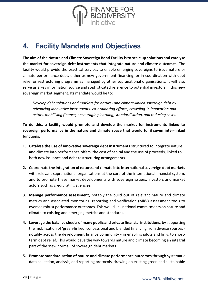

# **4. Facility Mandate and Objectives**

**The aim of the Nature and Climate Sovereign Bond Facility is to scale up solutions and catalyse the market for sovereign debt instruments that integrate nature and climate outcomes.** The facility would provide the practical services to enable emerging sovereigns to issue nature or climate performance debt, either as new government financing, or in coordination with debt relief or restructuring programmes managed by other supranational organisations. It will also serve as a key information source and sophisticated reference to potential investors in this new sovereign market segment. Its mandate would be to:

*Develop debt solutions and markets for nature- and climate-linked sovereign debt by advancing innovative instruments, co-ordinating efforts, crowding-in innovation and actors, mobilising finance, encouraging learning, standardisation, and reducing costs.*

**To do this, a facility would promote and develop the market for instruments linked to sovereign performance in the nature and climate space that would fulfil seven inter-linked functions:**

- **1. Catalyse the use of innovative sovereign debt instruments** structured to integrate nature and climate into performance offers, the cost of capital and the use of proceeds, linked to both new issuance and debt restructuring arrangements.
- **2. Coordinate the integration of nature and climate into international sovereign debt markets** with relevant supranational organisations at the core of the international financial system, and to promote these market developments with sovereign issuers, investors and market actors such as credit rating agencies.
- **3. Manage performance assessment**, notably the build out of relevant nature and climate metrics and associated monitoring, reporting and verification (MRV) assessment tools to oversee robust performance outcomes. This would link national commitments on nature and climate to existing and emerging metrics and standards.
- **4. Leverage the balance sheets of many public and private financial institutions**, by supporting the mobilisation of 'green-linked' concessional and blended financing from diverse sources notably across the development finance community - in enabling pilots and links to shortterm debt relief. This would pave the way towards nature and climate becoming an integral part of the 'new normal' of sovereign debt markets.
- **5. Promote standardisation of nature and climate performance outcomes** through systematic data collection, analysis, and reporting protocols, drawing on existing green and sustainable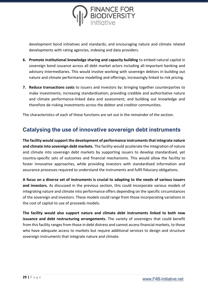

development bond initiatives and standards; and encouraging nature and climate related developments with rating agencies, indexing and data providers.

- **6. Promote institutional knowledge sharing and capacity building** to embed natural capital in sovereign bond issuance across all debt market actors including all-important banking and advisory intermediaries. This would involve working with sovereign debtors in building out nature and climate performance modelling and offerings, increasingly linked to risk pricing.
- **7. Reduce transactions costs** to issuers and investors by: bringing together counterparties to make investments; increasing standardisation; providing credible and authoritative nature and climate performance-linked data and assessment; and building out knowledge and therefore de-risking investments across the debtor and creditor communities.

The characteristics of each of these functions are set out in the remainder of the section.

### **Catalysing the use of innovative sovereign debt instruments**

**The facility would support the development of performance instruments that integrate nature and climate into sovereign debt markets.** The facility would accelerate the integration of nature and climate into sovereign debt markets by supporting issuers to develop standardised, yet country-specific sets of outcomes and financial mechanisms. This would allow the facility to foster innovative approaches, while providing investors with standardised information and assurance processes required to understand the instruments and fulfil fiduciary obligations.

**A focus on a diverse set of instruments is crucial to adapting to the needs of various issuers and investors.** As discussed in the previous section, this could incorporate various models of integrating nature and climate into performance offers depending on the specific circumstances of the sovereign and investors. These models could range from those incorporating variations in the cost of capital to use of proceeds models.

**The facility would also support nature and climate debt instruments linked to both new issuance and debt restructuring arrangements.** The variety of sovereigns that could benefit from this facility ranges from those in debt distress and cannot access financial markets, to those who have adequate access to markets but require additional services to design and structure sovereign instruments that integrate nature and climate.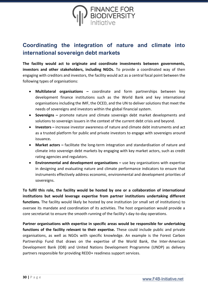

### **Coordinating the integration of nature and climate into international sovereign debt markets**

**The facility would act to originate and coordinate investments between governments, investors and other stakeholders, including NGOs.** To provide a coordinated way of then engaging with creditors and investors, the facility would act as a central focal point between the following types of organisations:

- **Multilateral organisations –** coordinate and form partnerships between key development finance institutions such as the World Bank and key international organisations including the IMF, the OCED, and the UN to deliver solutions that meet the needs of sovereigns and investors within the global financial system.
- **Sovereigns –** promote nature and climate sovereign debt market developments and solutions to sovereign issuers in the context of the current debt crisis and beyond.
- **Investors –** increase investor awareness of nature and climate debt instruments and act as a trusted platform for public and private investors to engage with sovereigns around issuance**.**
- Market actors facilitate the long-term integration and standardisation of nature and climate into sovereign debt markets by engaging with key market actors, such as credit rating agencies and regulators.
- **Environmental and development organisations –** use key organisations with expertise in designing and evaluating nature and climate performance indicators to ensure that instruments effectively address economic, environmental and development priorities of sovereigns.

**To fulfil this role, the facility would be hosted by one or a collaboration of international institutions but would leverage expertise from partner institutions undertaking different functions.** The facility would likely be hosted by one institution (or small set of institutions) to oversee its mandate and coordination of its activities. The host organisation would provide a core secretariat to ensure the smooth running of the facility's day-to-day operations.

**Partner organisations with expertise in specific areas would be responsible for undertaking functions of the facility relevant to their expertise.** These could include public and private organisations, as well as NGOs with specific knowledge. An example is the Forest Carbon Partnership Fund that draws on the expertise of the World Bank, the Inter-American Development Bank (IDB) and United Nations Development Programme (UNDP) as delivery partners responsible for providing REDD+ readiness support services.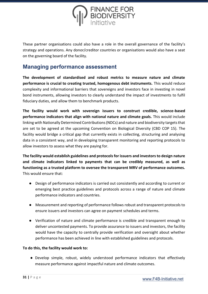

These partner organisations could also have a role in the overall governance of the facility's strategy and operations. Any donor/creditor countries or organisations would also have a seat on the governing board of the facility.

#### **Managing performance assessment**

**The development of standardised and robust metrics to measure nature and climate performance is crucial to creating trusted, homogenous debt instruments.** This would reduce complexity and informational barriers that sovereigns and investors face in investing in novel bond instruments, allowing investors to clearly understand the impact of investments to fulfil fiduciary duties, and allow them to benchmark products.

**The facility would work with sovereign issuers to construct credible, science-based performance indicators that align with national nature and climate goals.** This would include linking with Nationally Determined Contributions (NDCs) and nature and biodiversity targets that are set to be agreed at the upcoming Convention on Biological Diversity (CBD COP 15). The facility would bridge a critical gap that currently exists in collecting, structuring and analysing data in a consistent way, and in developing transparent monitoring and reporting protocols to allow investors to assess what they are paying for.

**The facility would establish guidelines and protocols for issuers and investors to design nature and climate indicators linked to payments that can be credibly measured, as well as functioning as a trusted platform to oversee the transparent MRV of performance outcomes.**  This would ensure that:

- Design of performance indicators is carried out consistently and according to current or emerging best practice guidelines and protocols across a range of nature and climate performance indicators and countries.
- Measurement and reporting of performance follows robust and transparent protocols to ensure issuers and investors can agree on payment schedules and terms.
- Verification of nature and climate performance is credible and transparent enough to deliver uncontested payments. To provide assurance to issuers and investors, the facility would have the capacity to centrally provide verification and oversight about whether performance has been achieved in line with established guidelines and protocols.

#### **To do this, the facility would work to:**

● Develop simple, robust, widely understood performance indicators that effectively measure performance against impactful nature and climate outcomes.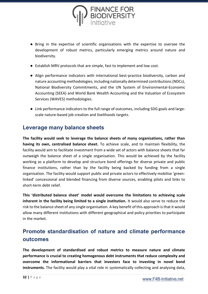

- Bring in the expertise of scientific organisations with the expertise to oversee the development of robust metrics, particularly emerging metrics around nature and biodiversity.
- Establish MRV protocols that are simple, fast to implement and low cost.
- Align performance indicators with international best-practice biodiversity, carbon and nature accounting methodologies, including nationally determined contributions (NDCs), National Biodiversity Commitments, and the UN System of Environmental-Economic Accounting (SEEA) and World Bank Wealth Accounting and the Valuation of Ecosystem Services (WAVES) methodologies.
- Link performance indicators to the full range of outcomes, including SDG goals and largescale nature-based job creation and livelihoods targets.

#### **Leverage many balance sheets**

**The facility would seek to leverage the balance sheets of many organisations, rather than having its own, centralised balance sheet.** To achieve scale, and to maintain flexibility, the facility would aim to facilitate investment from a wide set of actors with balance sheets that far outweigh the balance sheet of a single organisation. This would be achieved by the facility working as a platform to develop and structure bond offerings for diverse private and public finance institutions, rather than by the facility being backed by funding from a single organisation. The facility would support public and private actors to effectively mobilise 'greenlinked' concessional and blended financing from diverse sources, enabling pilots and links to short-term debt relief.

**This 'distributed balance sheet' model would overcome the limitations to achieving scale inherent in the facility being limited to a single institution.** It would also serve to reduce the risk to the balance sheet of any single organisation. A key benefit of this approach is that it would allow many different institutions with different geographical and policy priorities to participate in the market.

### **Promote standardisation of nature and climate performance outcomes**

**The development of standardised and robust metrics to measure nature and climate performance is crucial to creating homogenous debt instruments that reduce complexity and overcome the informational barriers that investors face to investing in novel bond instruments.** The facility would play a vital role in systematically collecting and analysing data,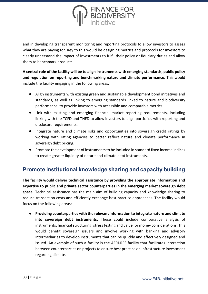

and in developing transparent monitoring and reporting protocols to allow investors to assess what they are paying for. Key to this would be designing metrics and protocols for investors to clearly understand the impact of investments to fulfil their policy or fiduciary duties and allow them to benchmark products.

**A central role of the facility will be to align instruments with emerging standards, public policy and regulation on reporting and benchmarking nature and climate performance.** This would include the facility engaging in the following areas:

- Align instruments with existing green and sustainable development bond initiatives and standards, as well as linking to emerging standards linked to nature and biodiversity performance, to provide investors with accessible and comparable metrics.
- Link with existing and emerging financial market reporting requirements, including linking with the TCFD and TNFD to allow investors to align portfolios with reporting and disclosure requirements.
- Integrate nature and climate risks and opportunities into sovereign credit ratings by working with rating agencies to better reflect nature and climate performance in sovereign debt pricing.
- Promote the development of instruments to be included in standard fixed income indices to create greater liquidity of nature and climate debt instruments.

### **Promote institutional knowledge sharing and capacity building**

**The facility would deliver technical assistance by providing the appropriate information and expertise to public and private sector counterparties in the emerging market sovereign debt space.** Technical assistance has the main aim of building capacity and knowledge sharing to reduce transaction costs and efficiently exchange best practice approaches. The facility would focus on the following areas:

● **Providing counterparties with the relevant information to integrate nature and climate into sovereign debt instruments.** These could include comparative analysis of instruments, financial structuring, stress testing and value for money considerations. This would benefit sovereign issuers and involve working with banking and advisory intermediaries to develop instruments that can be quickly and effectively designed and issued. An example of such a facility is the AFRI-RES facility that facilitates interaction between counterparties on projects to ensure best practice on infrastructure investment regarding climate.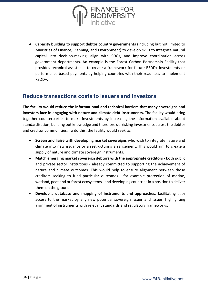

● **Capacity building to support debtor country governments** (including but not limited to Ministries of Finance, Planning, and Environment) to develop skills to integrate natural capital into decision-making, align with SDGs, and improve coordination across government departments. An example is the Forest Carbon Partnership Facility that provides technical assistance to create a framework for future REDD+ investments or performance-based payments by helping countries with their readiness to implement REDD+.

#### **Reduce transactions costs to issuers and investors**

**The facility would reduce the informational and technical barriers that many sovereigns and investors face in engaging with nature and climate debt instruments.** The facility would bring together counterparties to make investments by increasing the information available about standardisation, building out knowledge and therefore de-risking investments across the debtor and creditor communities. To do this, the facility would seek to:

- **Screen and liaise with developing market sovereigns** who wish to integrate nature and climate into new issuance or a restructuring arrangement. This would aim to create a supply of nature and climate sovereign instruments.
- **Match emerging market sovereign debtors with the appropriate creditors** both public and private sector institutions - already committed to supporting the achievement of nature and climate outcomes. This would help to ensure alignment between those creditors seeking to fund particular outcomes - for example protection of marine, wetland, peatland or forest ecosystems - and developing countries in a position to deliver them on the ground.
- **Develop a database and mapping of instruments and approaches**, facilitating easy access to the market by any new potential sovereign issuer and issuer, highlighting alignment of instruments with relevant standards and regulatory frameworks.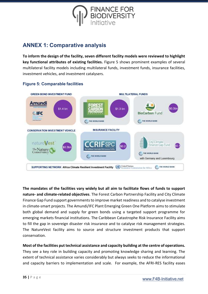

### <span id="page-34-0"></span>**ANNEX 1: Comparative analysis**

**To inform the design of the facility, seven different facility models were reviewed to highlight key functional attributes of existing facilities.** Figure 5 shows prominent examples of several multilateral facility models including multilateral funds, investment funds, insurance facilities, investment vehicles, and investment catalysers.



#### <span id="page-34-1"></span>**Figure 5: Comparable facilities**

**The mandates of the facilities vary widely but all aim to facilitate flows of funds to support nature- and climate-related objectives**. The Forest Carbon Partnership Facility and City Climate Finance Gap Fund support governments to improve market readiness and to catalyse investment in climate-smart projects. The Amundi/IFC Plant Emerging Green One Platform aims to stimulate both global demand and supply for green bonds using a targeted support programme for emerging markets financial institutions. The Caribbean Catastrophe Risk Insurance Facility aims to fill the gap in sovereign disaster risk insurance and to catalyse risk management strategies. The NatureVest facility aims to source and structure investment products that support conservation.

**Most of the facilities put technical assistance and capacity building at the centre of operations.** They see a key role in building capacity and promoting knowledge sharing and learning. The extent of technical assistance varies considerably but always seeks to reduce the informational

and capacity barriers to implementation and scale. For example, the AFRI-RES facility eases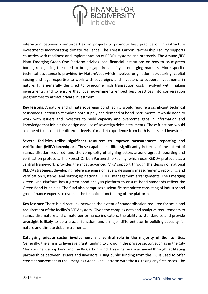

interaction between counterparties on projects to promote best practice on infrastructure investments incorporating climate resilience. The Forest Carbon Partnership Facility supports countries with readiness and implementation of REDD+ systems and protocols. The Amundi/IFC Plant Emerging Green One Platform advises local financial institutions on how to issue green bonds, recognising the need to bridge gaps in capacity in emerging markets. More specific technical assistance is provided by NatureVest which involves origination, structuring, capital raising and legal expertise to work with sovereigns and investors to support investments in nature. It is generally designed to overcome high transaction costs involved with making investments, and to ensure that local governments embed best practices into conversation programmes to attract private investment.

**Key lessons:** A nature and climate sovereign bond facility would require a significant technical assistance function to stimulate both supply and demand of bond instruments. It would need to work with issuers and investors to build capacity and overcome gaps in information and knowledge that inhibit the design and use of sovereign debt instruments. These functions would also need to account for different levels of market experience from both issuers and investors.

**Several facilities utilise significant resources to improve measurement, reporting and verification (MRV) techniques.** These capabilities differ significantly in terms of the extent of standardisation required, and the complexity of aligning actors around agreed reporting and verification protocols. The Forest Carbon Partnership Facility, which uses REDD+ protocols as a central framework, provides the most advanced MRV support through the design of national REDD+ strategies, developing reference emission levels, designing measurement, reporting, and verification systems, and setting up national REDD+ management arrangements. The Emerging Green One Platform has a green bond analysis platform to ensure bond standards reflect the Green Bond Principles. The fund also comprises a scientific committee consisting of industry and green finance experts to oversee the technical functioning of the platform.

**Key lessons:** There is a direct link between the extent of standardisation required for scale and requirement of the facility's MRV system. Given the complex data and analytics requirements to standardise nature and climate performance indicators, the ability to standardise and provide oversight is likely to be a crucial function, and a major differentiator in building capacity for nature and climate debt instruments.

**Catalysing private sector involvement is a central role in the majority of the facilities.** Generally, the aim is to leverage grant funding to crowd in the private sector, such as in the City Climate Finance Gap Fund and the BioCarbon Fund. This is generally achieved through facilitating partnerships between issuers and investors. Using public funding from the IFC is used to offer credit enhancement in the Emerging Green One Platform with the IFC taking any first losses. The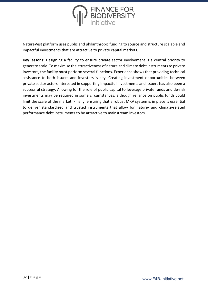

NatureVest platform uses public and philanthropic funding to source and structure scalable and impactful investments that are attractive to private capital markets.

**Key lessons:** Designing a facility to ensure private sector involvement is a central priority to generate scale. To maximise the attractiveness of nature and climate debt instruments to private investors, the facility must perform several functions. Experience shows that providing technical assistance to both issuers and investors is key. Creating investment opportunities between private sector actors interested in supporting impactful investments and issuers has also been a successful strategy. Allowing for the role of public capital to leverage private funds and de-risk investments may be required in some circumstances, although reliance on public funds could limit the scale of the market. Finally, ensuring that a robust MRV system is in place is essential to deliver standardised and trusted instruments that allow for nature- and climate-related performance debt instruments to be attractive to mainstream investors.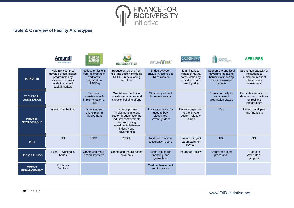

#### **Table 2: Overview of Facility Archetypes**

<span id="page-37-0"></span>

|                                       | Amundi<br><b>ISSET MANAGEMENT</b>                                                                                                | 11123                                                                            | <b>BioCarbon Fund</b>                                                                                                                                                 | nature <b>Vest</b>                                                    |                                                                                               | Sty Climate<br>interior GaloRand                                                                       | <b>AFRI-RES</b>                                                                                   |
|---------------------------------------|----------------------------------------------------------------------------------------------------------------------------------|----------------------------------------------------------------------------------|-----------------------------------------------------------------------------------------------------------------------------------------------------------------------|-----------------------------------------------------------------------|-----------------------------------------------------------------------------------------------|--------------------------------------------------------------------------------------------------------|---------------------------------------------------------------------------------------------------|
| <b>MANDATE</b>                        | <b>Help EM countries</b><br>develop green finance<br>programmes by<br>investing in green<br>bonds in domestic<br>capital markets | Reduce emissions<br>from deforestation<br>and forest<br>degradation<br>$(REDD+)$ | Reduce emissions from<br>the land sector, including<br>REDD+ in developing<br>countries                                                                               | Bridge between<br>private investors and<br>TNC's mission              | Limit financial<br>impact of natural<br>catastrophes by<br>providing short-<br>term liquidity | Support city and local<br>governments facing<br>barriers to financing<br>for climate-smart<br>projects | Strengthen capacity of<br>institutions to<br>implement resilient<br>infrastructure<br>investments |
| <b>TECHNICAL</b><br><b>ASSISTANCE</b> |                                                                                                                                  | <b>Technical</b><br>assistance with<br>implementation of<br>$REDD+$              | Grant-based technical<br>assistance activities and<br>capacity building efforts                                                                                       | Structuring of debt<br>for nature swaps                               |                                                                                               | Grants normally for<br>early project<br>preparation stages                                             | Facilitate interaction to<br>develop new practices<br>on resilient<br>infrastructure              |
| <b>PRIVATE</b><br><b>SECTOR ROLE</b>  | Investors in the fund                                                                                                            | Largely indirect<br>and exploring<br>involvement                                 | Increase private<br>involvement in forest<br>sector through fostering<br>industry commitments<br>and supporting<br>investments between<br>industry and<br>governments | Private sector capital<br>used to buy<br>discounted<br>sovereign debt | Recently expanded<br>to the private<br>$sector - electric$<br>utilities                       | Yes                                                                                                    | Project developers<br>and financiers                                                              |
| <b>MRV</b>                            | N/A                                                                                                                              | $REDD+$                                                                          | REDD+                                                                                                                                                                 | <b>Trust fund monitors</b><br>conservation spend                      | State-contingent<br>parameters for<br>pay-out                                                 | N/A                                                                                                    | N/A                                                                                               |
| <b>USE OF FUNDS</b>                   | Fund - investing in<br>bonds                                                                                                     | <b>Grants and result-</b><br>based payments                                      | Grants and results-based<br>payments                                                                                                                                  | Loans, structured<br>financing, and<br>guarantees                     | <b>Insurance Facility</b>                                                                     | <b>Grants for project</b><br>preparation                                                               | Grants to<br><b>World Bank</b><br>projects                                                        |
| <b>CREDIT</b><br><b>ENHANCEMENT</b>   | <b>IFC</b> takes<br>first loss                                                                                                   |                                                                                  |                                                                                                                                                                       | Credit enhancement<br>and insurance                                   |                                                                                               |                                                                                                        |                                                                                                   |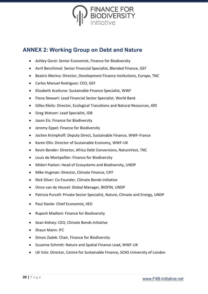

### <span id="page-38-0"></span>**ANNEX 2: Working Group on Debt and Nature**

- Ashley Gorst: Senior Economist, Finance for Biodiversity
- Avril Benchimol: Senior Financial Specialist, Blended Finance, GEF
- Beatriz Merino: Director, Development Finance Institutions, Europe, TNC
- Carlos Manuel Rodriguez: CEO, GEF
- Elizabeth Aceituno: Sustainable Finance Specialist, WWF
- Fiona Stewart: Lead Financial Sector Specialist, World Bank
- Gilles Kleitz: Director, Ecological Transitions and Natural Resources, AfD
- Greg Watson: Lead Specialist, IDB
- Jason Eis: Finance for Biodiversity
- Jeremy Eppel: Finance for Biodiversity
- Jochen Krimphoff: Deputy Direct, Sustainable Finance, WWF-France
- Karen Ellis: Director of Sustainable Economy, WWF-UK
- Kevin Bender: Director, Africa Debt Conversions, NatureVest, TNC
- Louis de Montpellier: Finance for Biodiversity
- Midori Paxton: Head of Ecosystems and Biodiversity, UNDP
- Mike Hugman: Director, Climate Finance, CIFF
- Nick Silver: Co-Founder, Climate Bonds Initiative
- Onno van de Heuvel: Global Manager, BIOFIN, UNDP
- Patricia Purcell: Private Sector Specialist, Nature, Climate and Energy, UNDP
- Paul Steele: Chief Economist, IIED
- Rupesh Madlani: Finance for Biodiversity
- Sean Kidney: CEO, Climate Bonds Initiative
- Shaun Mann: IFC
- Simon Zadek: Chair, Finance for Biodiversity
- Susanne Schmitt: Nature and Spatial Finance Lead, WWF-UK
- Uli Volz: Director, Centre for Sustainable Finance, SOAS University of London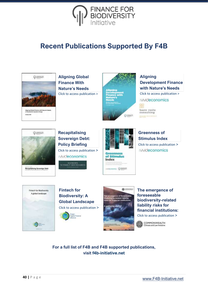

# <span id="page-39-0"></span>**Recent Publications Supported By F4B**



[Click to access](https://www.f4b-initiative.net/publications-1/aligning-global-finance-with-nature%E2%80%99s-needs%3A-a-framework-for-systemic-change-) publication >



#### **Aligning Development Finance with Nature's Needs**

[Click to access publication >](https://www.f4b-initiative.net/publications-1/aligning-development-finance-with-nature)

:vivideconomics

**OC** basic roots consulting **Billing** eventual



**Recapitalising Sovereign Debt: Policy Briefing** [Click to access publication](https://www.f4b-initiative.net/publications-1/-recapitalising-sovereign-debt%3A-policy-briefing) [>](https://www.f4b-initiative.net/publications-1/-recapitalising-sovereign-debt%3A-policy-briefing) :vivideconomics

**Aligning Global Finance With Nature's Needs**

BANKERS<br>WITHOUT BOUNDARIES



es Question

Index

#### **Greenness of Stimulus Index**

[Click to access publication](https://www.f4b-initiative.net/publications-1/third-edition--greenness-of-stimulus-index) [>](https://www.f4b-initiative.net/publications-1/third-edition--greenness-of-stimulus-index) :vivideconomics



**Fintech for Biodiversity: A Global Landscape** [Click to access publication](https://www.f4b-initiative.net/publications-1/fintech-for-biodiversity%3A-a-global-landscape-) [>](https://www.f4b-initiative.net/publications-1/fintech-for-biodiversity%3A-a-global-landscape-)





**The emergence of foreseeable biodiversity-related liability risks for financial institutions:**  [Click to access publication](https://www.f4b-initiative.net/publications-1/the-emergence-of-foreseeable-biodiversity-related-liability-risks-for-financial-institutions%3A-a-gathering-storm%3F) [>](https://www.f4b-initiative.net/publications-1/the-emergence-of-foreseeable-biodiversity-related-liability-risks-for-financial-institutions%3A-a-gathering-storm%3F)

COMMONWEALTH

#### **For a full list of F4B and F4B supported publications, visit [f4b-initiative.net](https://www.f4b-initiative.net/publications-1)**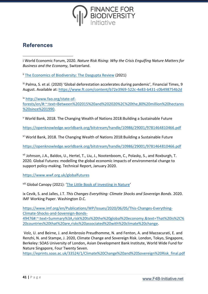

### <span id="page-40-0"></span>**References**

i World Economic Forum, 2020. *Nature Risk Rising: Why the Crisis Engulfing Nature Matters for Business and the Economy,* Switzerland.

ii [The Economics of Biodiversity: The Dasgupta Review](https://www.gov.uk/government/publications/final-report-the-economics-of-biodiversity-the-dasgupta-review) (2021)

iii Palma, S. et al. (2020) 'Global deforestation accelerates during pandemic', Financial Times, 9 August. Available at:<https://www.ft.com/content/b72e3969-522c-4e83-b431-c0b498754b2d>

iv [http://www.fao.org/state-of](http://www.fao.org/state-of-forests/en/#:~:text=Between%202015%20and%202020%2C%20the,80%20million%20hectares%20since%201990)[forests/en/#:~:text=Between%202015%20and%202020%2C%20the,80%20million%20hectares](http://www.fao.org/state-of-forests/en/#:~:text=Between%202015%20and%202020%2C%20the,80%20million%20hectares%20since%201990) [%20since%201990.](http://www.fao.org/state-of-forests/en/#:~:text=Between%202015%20and%202020%2C%20the,80%20million%20hectares%20since%201990)

<sup>v</sup> World Bank, 2018. The Changing Wealth of Nations 2018:Building a Sustainable Future

<https://openknowledge.worldbank.org/bitstream/handle/10986/29001/9781464810466.pdf>

vi World Bank, 2018. The Changing Wealth of Nations 2018:Building a Sustainable Future

<https://openknowledge.worldbank.org/bitstream/handle/10986/29001/9781464810466.pdf>

vii Johnson, J.A., Baldos, U., Hertel, T., Liu, J., Nootenboom, C., Polasky, S., and Roxburgh, T. 2020. Global Futures: modelling the global economic impacts of environmental change to support policy-making. Technical Report, January 2020.

<https://www.wwf.org.uk/globalfutures>

viii Global Canopy (2021): '[The Little Book of Investing in Nature](https://globalcanopy.org/wp-content/uploads/2021/01/LBIN_2020_EN.pdf)'

ix Cevik, S. and Jalles, J.T. *This Changes Everything: Climate Shocks and Sovereign Bonds*. 2020. IMF Working Paper. Washington D.C.

[https://www.imf.org/en/Publications/WP/Issues/2020/06/05/This-Changes-Everything-](https://www.imf.org/en/Publications/WP/Issues/2020/06/05/This-Changes-Everything-Climate-Shocks-and-Sovereign-Bonds-49476#:~:text=Summary%3A,risk%20to%20the%20global%20economy.&text=That%20is%2C%20countries%20that%20are,risks%20associated%20with%20climate%20change)[Climate-Shocks-and-Sovereign-Bonds-](https://www.imf.org/en/Publications/WP/Issues/2020/06/05/This-Changes-Everything-Climate-Shocks-and-Sovereign-Bonds-49476#:~:text=Summary%3A,risk%20to%20the%20global%20economy.&text=That%20is%2C%20countries%20that%20are,risks%20associated%20with%20climate%20change)[49476#:~:text=Summary%3A,risk%20to%20the%20global%20economy.&text=That%20is%2C%](https://www.imf.org/en/Publications/WP/Issues/2020/06/05/This-Changes-Everything-Climate-Shocks-and-Sovereign-Bonds-49476#:~:text=Summary%3A,risk%20to%20the%20global%20economy.&text=That%20is%2C%20countries%20that%20are,risks%20associated%20with%20climate%20change) [20countries%20that%20are,risks%20associated%20with%20climate%20change.](https://www.imf.org/en/Publications/WP/Issues/2020/06/05/This-Changes-Everything-Climate-Shocks-and-Sovereign-Bonds-49476#:~:text=Summary%3A,risk%20to%20the%20global%20economy.&text=That%20is%2C%20countries%20that%20are,risks%20associated%20with%20climate%20change)

Volz, U. and Beirne, J. and Ambrosio Preudhomme, N. and Fenton, A. and Mazzacurati, E. and Renzhi, N. and Stampe, J. 2020, Climate Change and Sovereign Risk. London, Tokyo, Singapore, Berkeley: SOAS University of London, Asian Development Bank Institute, World Wide Fund for Nature Singapore, Four Twenty Seven.

[https://eprints.soas.ac.uk/33524/1/Climate%20Change%20and%20Sovereign%20Risk\\_final.pdf](https://eprints.soas.ac.uk/33524/1/Climate%20Change%20and%20Sovereign%20Risk_final.pdf)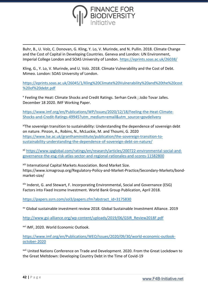

Buhr, B., U. Volz, C. Donovan, G. Kling, Y. Lo, V. Murinde, and N. Pullin. 2018. Climate Change and the Cost of Capital in Developing Countries. Geneva and London: UN Environment, Imperial College London and SOAS University of London.<https://eprints.soas.ac.uk/26038/>

Kling, G., Y. Lo, V. Murinde, and U. Volz. 2018. Climate Vulnerability and the Cost of Debt. Mimeo. London: SOAS University of London.

[https://eprints.soas.ac.uk/26045/1/Kling%20Climate%20Vulnerability%20and%20the%20cost](https://eprints.soas.ac.uk/26045/1/Kling%20Climate%20Vulnerability%20and%20the%20cost%20of%20debt.pdf) [%20of%20debt.pdf](https://eprints.soas.ac.uk/26045/1/Kling%20Climate%20Vulnerability%20and%20the%20cost%20of%20debt.pdf)

<sup>x</sup> Feeling the Heat: Climate Shocks and Credit Ratings. Serhan Cevik ; João Tovar Jalles. December 18 2020. IMF Working Paper.

[https://www.imf.org/en/Publications/WP/Issues/2020/12/18/Feeling-the-Heat-Climate-](https://www.imf.org/en/Publications/WP/Issues/2020/12/18/Feeling-the-Heat-Climate-Shocks-and-Credit-Ratings-49945?utm_medium=email&utm_source=govdelivery)[Shocks-and-Credit-Ratings-49945?utm\\_medium=email&utm\\_source=govdelivery](https://www.imf.org/en/Publications/WP/Issues/2020/12/18/Feeling-the-Heat-Climate-Shocks-and-Credit-Ratings-49945?utm_medium=email&utm_source=govdelivery)

xiThe sovereign transition to sustainability: Understanding the dependence of sovereign debt on nature. Pinzon, A., Robins, N., McLuckie, M. and Thoumi, G. 2020 [https://www.lse.ac.uk/granthaminstitute/publication/the-sovereign-transition-to](https://www.lse.ac.uk/granthaminstitute/publication/the-sovereign-transition-to-sustainability-understanding-the-dependence-of-sovereign-debt-on-nature/)[sustainability-understanding-the-dependence-of-sovereign-debt-on-nature/](https://www.lse.ac.uk/granthaminstitute/publication/the-sovereign-transition-to-sustainability-understanding-the-dependence-of-sovereign-debt-on-nature/)

xii [https://www.spglobal.com/ratings/en/research/articles/200722-environmental-social-and](https://www.spglobal.com/ratings/en/research/articles/200722-environmental-social-and-governance-the-esg-risk-atlas-sector-and-regional-rationales-and-scores-11582800)[governance-the-esg-risk-atlas-sector-and-regional-rationales-and-scores-11582800](https://www.spglobal.com/ratings/en/research/articles/200722-environmental-social-and-governance-the-esg-risk-atlas-sector-and-regional-rationales-and-scores-11582800)

xiii International Capital Markets Association. Bond Market Size. https://www.icmagroup.org/Regulatory-Policy-and-Market-Practice/Secondary-Markets/bondmarket-size/

xiv Inderst, G. and Stewart, F. Incorporating Environmental, Social and Governance (ESG) Factors into Fixed Income Investment. World Bank Group Publication, April 2018.

[https://papers.ssrn.com/sol3/papers.cfm?abstract\\_id=3175830](https://papers.ssrn.com/sol3/papers.cfm?abstract_id=3175830)

xv Global sustainable investment review 2018. Global Sustainable Investment Alliance. 2019

[http://www.gsi-alliance.org/wp-content/uploads/2019/06/GSIR\\_Review2018F.pdf](http://www.gsi-alliance.org/wp-content/uploads/2019/06/GSIR_Review2018F.pdf)

xvi IMF, 2020. World Economic Outlook.

[https://www.imf.org/en/Publications/WEO/Issues/2020/09/30/world-economic-outlook](https://www.imf.org/en/Publications/WEO/Issues/2020/09/30/world-economic-outlook-october-2020)[october-2020](https://www.imf.org/en/Publications/WEO/Issues/2020/09/30/world-economic-outlook-october-2020)

xvii United Nations Conference on Trade and Development. 2020. From the Great Lockdown to the Great Meltdown: Developing Country Debt in the Time of Covid-19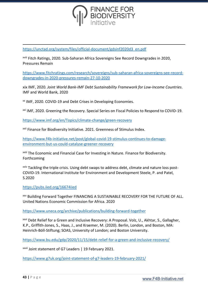

[https://unctad.org/system/files/official-document/gdsinf2020d3\\_en.pdf](https://unctad.org/system/files/official-document/gdsinf2020d3_en.pdf)

xviii Fitch Ratings, 2020. Sub-Saharan Africa Sovereigns See Record Downgrades in 2020, Pressures Remain

[https://www.fitchratings.com/research/sovereigns/sub-saharan-africa-sovereigns-see-record](https://www.fitchratings.com/research/sovereigns/sub-saharan-africa-sovereigns-see-record-downgrades-in-2020-pressures-remain-27-10-2020)[downgrades-in-2020-pressures-remain-27-10-2020](https://www.fitchratings.com/research/sovereigns/sub-saharan-africa-sovereigns-see-record-downgrades-in-2020-pressures-remain-27-10-2020)

xix IMF, 2020*. Joint World Bank-IMF Debt Sustainability Framework for Low-Income Countries*. IMF and World Bank, 2020

xx IMF, 2020. COVID-19 and Debt Crises in Developing Economies.

<sup>xxi</sup> IMF, 2020. Greening the Recovery. Special Series on Fiscal Policies to Respond to COVID-19.

<https://www.imf.org/en/Topics/climate-change/green-recovery>

<sup>xxii</sup> Finance for Biodiversity Initiative. 2021. Greenness of Stimulus Index.

[https://www.f4b-initiative.net/post/global-covid-19-stimulus-continues-to-damage](https://www.f4b-initiative.net/post/global-covid-19-stimulus-continues-to-damage-environment-but-us-could-catalyse-greener-recovery)[environment-but-us-could-catalyse-greener-recovery](https://www.f4b-initiative.net/post/global-covid-19-stimulus-continues-to-damage-environment-but-us-could-catalyse-greener-recovery)

xxiii The Economic and Financial Case for Investing in Nature. Finance for Biodiversity. Forthcoming

xxiv Tackling the triple crisis. Using debt swaps to address debt, climate and nature loss post-COVID-19. International Institute for Environment and Development Steele, P. and Patel, S.2020

<https://pubs.iied.org/16674iied>

xxv Building Forward Together FINANCING A SUSTAINABLE RECOVERY FOR THE FUTURE OF ALL. United Nations Economic Commission for Africa. 2020

<https://www.uneca.org/archive/publications/building-forward-together>

xxvi Debt Relief for a Green and Inclusive Recovery: A Proposal. Volz, U., Akhtar, S., Gallagher, K.P., Griffith-Jones, S., Haas, J., and Kraemer, M. (2020). Berlin, London, and Boston, MA: Heinrich-Böll-Stiftung; SOAS, University of London; and Boston University.

<https://www.bu.edu/gdp/2020/11/15/debt-relief-for-a-green-and-inclusive-recovery/>

xxvii Joint statement of G7 Leaders | 19 February 2021.

<https://www.g7uk.org/joint-statement-of-g7-leaders-19-february-2021/>